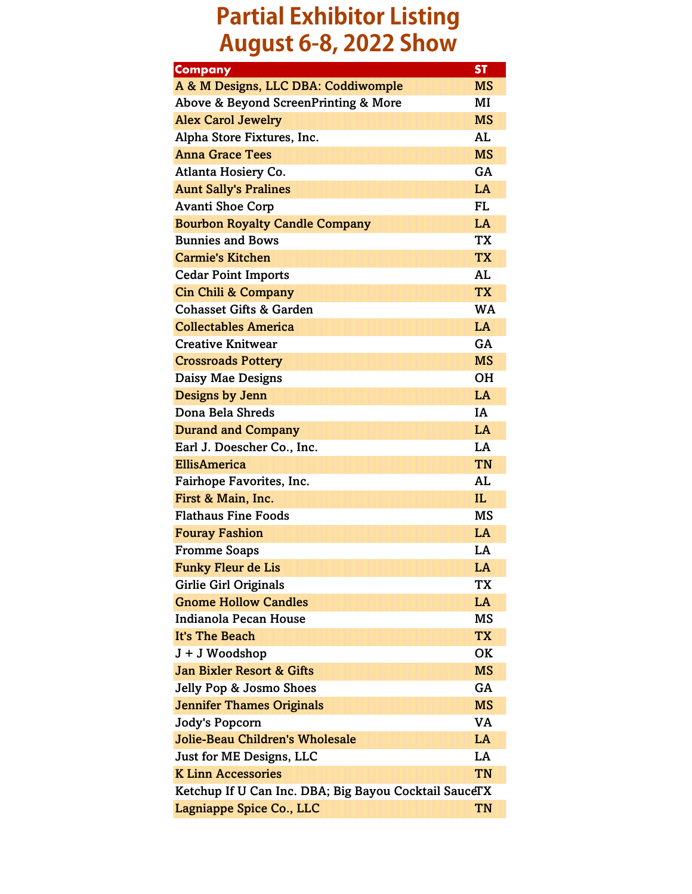## **Partial Exhibitor Listing August 6-8, 2022 Show**

| <b>Company</b>                                        | <b>ST</b> |
|-------------------------------------------------------|-----------|
| A & M Designs, LLC DBA: Coddiwomple                   | <b>MS</b> |
| Above & Beyond ScreenPrinting & More                  | MI        |
| <b>Alex Carol Jewelry</b>                             | <b>MS</b> |
| Alpha Store Fixtures, Inc.                            | AL        |
| <b>Anna Grace Tees</b>                                | <b>MS</b> |
| Atlanta Hosiery Co.                                   | GA        |
| <b>Aunt Sally's Pralines</b>                          | LA        |
| <b>Avanti Shoe Corp</b>                               | FL        |
| <b>Bourbon Royalty Candle Company</b>                 | LA        |
| <b>Bunnies and Bows</b>                               | <b>TX</b> |
| <b>Carmie's Kitchen</b>                               | <b>TX</b> |
| <b>Cedar Point Imports</b>                            | AL        |
| <b>Cin Chili &amp; Company</b>                        | <b>TX</b> |
| <b>Cohasset Gifts &amp; Garden</b>                    | <b>WA</b> |
| <b>Collectables America</b>                           | LA        |
| <b>Creative Knitwear</b>                              | GA        |
| <b>Crossroads Pottery</b>                             | <b>MS</b> |
| Daisy Mae Designs                                     | OН        |
| Designs by Jenn                                       | LA        |
| Dona Bela Shreds                                      | IA        |
| <b>Durand and Company</b>                             | LA        |
| Earl J. Doescher Co., Inc.                            | LA        |
| <b>EllisAmerica</b>                                   | <b>TN</b> |
| Fairhope Favorites, Inc.                              | AL        |
| First & Main, Inc.                                    | IL.       |
| <b>Flathaus Fine Foods</b>                            | MS        |
| <b>Fouray Fashion</b>                                 | LA        |
| <b>Fromme Soaps</b>                                   | LA        |
| <b>Funky Fleur de Lis</b>                             | LA        |
| Girlie Girl Originals                                 | TX        |
| <b>Gnome Hollow Candles</b>                           | LA        |
| Indianola Pecan House                                 | MS        |
| It's The Beach                                        | <b>TX</b> |
| J + J Woodshop                                        | OK        |
| Jan Bixler Resort & Gifts                             | <b>MS</b> |
| Jelly Pop & Josmo Shoes                               | GA        |
| <b>Jennifer Thames Originals</b>                      | <b>MS</b> |
| <b>Jody's Popcorn</b>                                 | VA        |
| <b>Jolie-Beau Children's Wholesale</b>                | LA        |
| Just for ME Designs, LLC                              | LA        |
| <b>K Linn Accessories</b>                             | TN        |
| Ketchup If U Can Inc. DBA; Big Bayou Cocktail SauceTX |           |
| Lagniappe Spice Co., LLC                              | TN        |